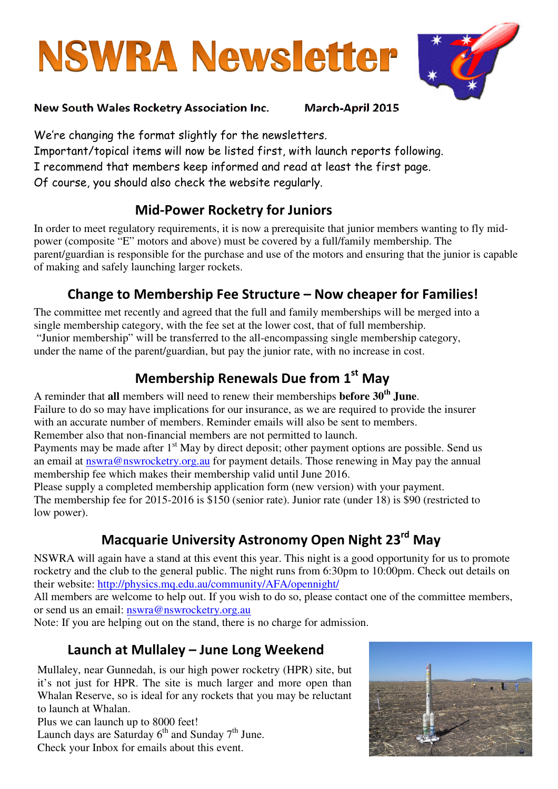# **NSWRA Newsletter**



#### New South Wales Rocketry Association Inc. March-April 2015

We're changing the format slightly for the newsletters. Important/topical items will now be listed first, with launch reports following. I recommend that members keep informed and read at least the first page. Of course, you should also check the website regularly.

### Mid-Power Rocketry for Juniors

In order to meet regulatory requirements, it is now a prerequisite that junior members wanting to fly midpower (composite "E" motors and above) must be covered by a full/family membership. The parent/guardian is responsible for the purchase and use of the motors and ensuring that the junior is capable of making and safely launching larger rockets.

# Change to Membership Fee Structure – Now cheaper for Families!

The committee met recently and agreed that the full and family memberships will be merged into a single membership category, with the fee set at the lower cost, that of full membership. "Junior membership" will be transferred to the all-encompassing single membership category, under the name of the parent/guardian, but pay the junior rate, with no increase in cost.

# Membership Renewals Due from 1st Mav

A reminder that **all** members will need to renew their memberships **before 30th June**. Failure to do so may have implications for our insurance, as we are required to provide the insurer with an accurate number of members. Reminder emails will also be sent to members. Remember also that non-financial members are not permitted to launch.

Payments may be made after 1<sup>st</sup> May by direct deposit; other payment options are possible. Send us an email at nswra@nswrocketry.org.au for payment details. Those renewing in May pay the annual membership fee which makes their membership valid until June 2016.

Please supply a completed membership application form (new version) with your payment. The membership fee for 2015-2016 is \$150 (senior rate). Junior rate (under 18) is \$90 (restricted to low power).

# Macquarie University Astronomy Open Night 23<sup>rd</sup> May

NSWRA will again have a stand at this event this year. This night is a good opportunity for us to promote rocketry and the club to the general public. The night runs from 6:30pm to 10:00pm. Check out details on their website: http://physics.mq.edu.au/community/AFA/opennight/

All members are welcome to help out. If you wish to do so, please contact one of the committee members, or send us an email: nswra@nswrocketry.org.au

Note: If you are helping out on the stand, there is no charge for admission.

# Launch at Mullaley – June Long Weekend

Mullaley, near Gunnedah, is our high power rocketry (HPR) site, but it's not just for HPR. The site is much larger and more open than Whalan Reserve, so is ideal for any rockets that you may be reluctant to launch at Whalan.

Plus we can launch up to  $8000$  feet! Launch days are Saturday  $6<sup>th</sup>$  and Sunday  $7<sup>th</sup>$  June. Check your Inbox for emails about this event.